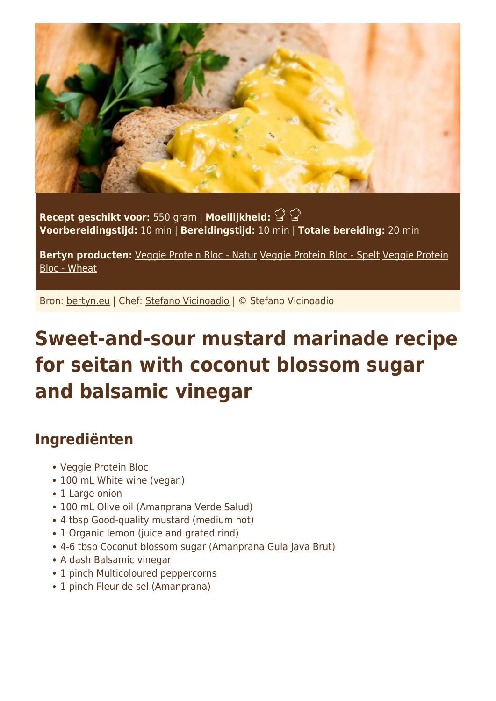

**Recept geschikt voor:** 550 gram | **Moeilijkheid: Voorbereidingstijd:** 10 min | **Bereidingstijd:** 10 min | **Totale bereiding:** 20 min

**Bertyn producten:** [Veggie Protein Bloc - Natur](https://www.bertyn.eu/en/product/veggie-protein-bloc-natur/) [Veggie Protein Bloc - Spelt](https://www.bertyn.eu/en/product/veggie-protein-bloc-spelt/) [Veggie Protein](https://www.bertyn.eu/en/product/veggie-protein-bloc-wheat/) [Bloc - Wheat](https://www.bertyn.eu/en/product/veggie-protein-bloc-wheat/)

Bron: [bertyn.eu](https://www.bertyn.eu/en/recipe/sweet-sour-mustard-seitan-marinade/) | Chef: [Stefano Vicinoadio](https://www.bertyn.eu/en/author/) | © Stefano Vicinoadio

## **Sweet-and-sour mustard marinade recipe for seitan with coconut blossom sugar and balsamic vinegar**

## **Ingrediënten**

- Veggie Protein Bloc
- 100 mL White wine (vegan)
- 1 Large onion
- 100 mL Olive oil (Amanprana Verde Salud)
- 4 tbsp Good-quality mustard (medium hot)
- 1 Organic lemon (juice and grated rind)
- 4-6 tbsp Coconut blossom sugar (Amanprana Gula Java Brut)
- A dash Balsamic vinegar
- 1 pinch Multicoloured peppercorns
- 1 pinch Fleur de sel (Amanprana)